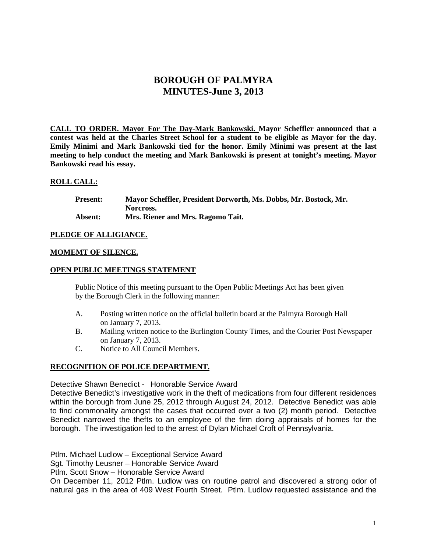# **BOROUGH OF PALMYRA MINUTES-June 3, 2013**

**CALL TO ORDER. Mayor For The Day-Mark Bankowski. Mayor Scheffler announced that a contest was held at the Charles Street School for a student to be eligible as Mayor for the day. Emily Minimi and Mark Bankowski tied for the honor. Emily Minimi was present at the last meeting to help conduct the meeting and Mark Bankowski is present at tonight's meeting. Mayor Bankowski read his essay.** 

### **ROLL CALL:**

| <b>Present:</b> | Mayor Scheffler, President Dorworth, Ms. Dobbs, Mr. Bostock, Mr. |
|-----------------|------------------------------------------------------------------|
|                 | Norcross.                                                        |
| Absent:         | Mrs. Riener and Mrs. Ragomo Tait.                                |

## **PLEDGE OF ALLIGIANCE.**

### **MOMEMT OF SILENCE.**

### **OPEN PUBLIC MEETINGS STATEMENT**

Public Notice of this meeting pursuant to the Open Public Meetings Act has been given by the Borough Clerk in the following manner:

- A. Posting written notice on the official bulletin board at the Palmyra Borough Hall on January 7, 2013.
- B. Mailing written notice to the Burlington County Times, and the Courier Post Newspaper on January 7, 2013.
- C. Notice to All Council Members.

# **RECOGNITION OF POLICE DEPARTMENT.**

Detective Shawn Benedict - Honorable Service Award

Detective Benedict's investigative work in the theft of medications from four different residences within the borough from June 25, 2012 through August 24, 2012. Detective Benedict was able to find commonality amongst the cases that occurred over a two (2) month period. Detective Benedict narrowed the thefts to an employee of the firm doing appraisals of homes for the borough. The investigation led to the arrest of Dylan Michael Croft of Pennsylvania.

Ptlm. Michael Ludlow – Exceptional Service Award

Sgt. Timothy Leusner – Honorable Service Award

Ptlm. Scott Snow – Honorable Service Award

On December 11, 2012 Ptlm. Ludlow was on routine patrol and discovered a strong odor of natural gas in the area of 409 West Fourth Street. Ptlm. Ludlow requested assistance and the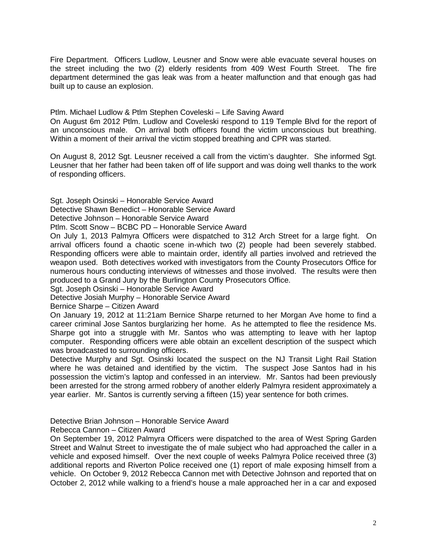Fire Department. Officers Ludlow, Leusner and Snow were able evacuate several houses on the street including the two (2) elderly residents from 409 West Fourth Street. The fire department determined the gas leak was from a heater malfunction and that enough gas had built up to cause an explosion.

Ptlm. Michael Ludlow & Ptlm Stephen Coveleski – Life Saving Award

On August 6m 2012 Ptlm. Ludlow and Coveleski respond to 119 Temple Blvd for the report of an unconscious male. On arrival both officers found the victim unconscious but breathing. Within a moment of their arrival the victim stopped breathing and CPR was started.

On August 8, 2012 Sgt. Leusner received a call from the victim's daughter. She informed Sgt. Leusner that her father had been taken off of life support and was doing well thanks to the work of responding officers.

Sgt. Joseph Osinski – Honorable Service Award

Detective Shawn Benedict – Honorable Service Award

Detective Johnson – Honorable Service Award

Ptlm. Scott Snow – BCBC PD – Honorable Service Award

On July 1, 2013 Palmyra Officers were dispatched to 312 Arch Street for a large fight. On arrival officers found a chaotic scene in-which two (2) people had been severely stabbed. Responding officers were able to maintain order, identify all parties involved and retrieved the weapon used. Both detectives worked with investigators from the County Prosecutors Office for numerous hours conducting interviews of witnesses and those involved. The results were then produced to a Grand Jury by the Burlington County Prosecutors Office.

Sgt. Joseph Osinski – Honorable Service Award

Detective Josiah Murphy – Honorable Service Award

Bernice Sharpe – Citizen Award

On January 19, 2012 at 11:21am Bernice Sharpe returned to her Morgan Ave home to find a career criminal Jose Santos burglarizing her home. As he attempted to flee the residence Ms. Sharpe got into a struggle with Mr. Santos who was attempting to leave with her laptop computer. Responding officers were able obtain an excellent description of the suspect which was broadcasted to surrounding officers.

Detective Murphy and Sgt. Osinski located the suspect on the NJ Transit Light Rail Station where he was detained and identified by the victim. The suspect Jose Santos had in his possession the victim's laptop and confessed in an interview. Mr. Santos had been previously been arrested for the strong armed robbery of another elderly Palmyra resident approximately a year earlier. Mr. Santos is currently serving a fifteen (15) year sentence for both crimes.

Detective Brian Johnson – Honorable Service Award

Rebecca Cannon – Citizen Award

On September 19, 2012 Palmyra Officers were dispatched to the area of West Spring Garden Street and Walnut Street to investigate the of male subject who had approached the caller in a vehicle and exposed himself. Over the next couple of weeks Palmyra Police received three (3) additional reports and Riverton Police received one (1) report of male exposing himself from a vehicle. On October 9, 2012 Rebecca Cannon met with Detective Johnson and reported that on October 2, 2012 while walking to a friend's house a male approached her in a car and exposed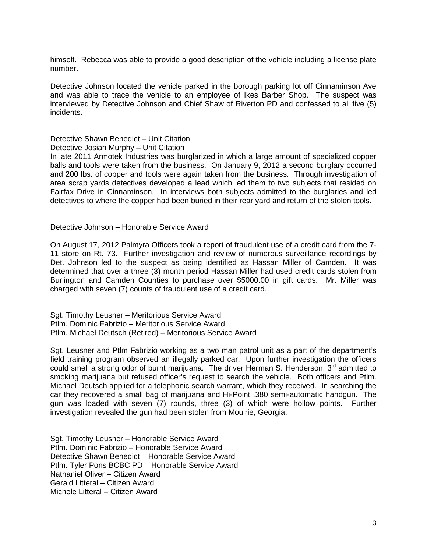himself. Rebecca was able to provide a good description of the vehicle including a license plate number.

Detective Johnson located the vehicle parked in the borough parking lot off Cinnaminson Ave and was able to trace the vehicle to an employee of Ikes Barber Shop. The suspect was interviewed by Detective Johnson and Chief Shaw of Riverton PD and confessed to all five (5) incidents.

### Detective Shawn Benedict – Unit Citation

Detective Josiah Murphy – Unit Citation

In late 2011 Armotek Industries was burglarized in which a large amount of specialized copper balls and tools were taken from the business. On January 9, 2012 a second burglary occurred and 200 lbs. of copper and tools were again taken from the business. Through investigation of area scrap yards detectives developed a lead which led them to two subjects that resided on Fairfax Drive in Cinnaminson. In interviews both subjects admitted to the burglaries and led detectives to where the copper had been buried in their rear yard and return of the stolen tools.

Detective Johnson – Honorable Service Award

On August 17, 2012 Palmyra Officers took a report of fraudulent use of a credit card from the 7- 11 store on Rt. 73. Further investigation and review of numerous surveillance recordings by Det. Johnson led to the suspect as being identified as Hassan Miller of Camden. It was determined that over a three (3) month period Hassan Miller had used credit cards stolen from Burlington and Camden Counties to purchase over \$5000.00 in gift cards. Mr. Miller was charged with seven (7) counts of fraudulent use of a credit card.

Sgt. Timothy Leusner – Meritorious Service Award Ptlm. Dominic Fabrizio – Meritorious Service Award Ptlm. Michael Deutsch (Retired) – Meritorious Service Award

Sgt. Leusner and Ptlm Fabrizio working as a two man patrol unit as a part of the department's field training program observed an illegally parked car. Upon further investigation the officers could smell a strong odor of burnt marijuana. The driver Herman S. Henderson, 3<sup>rd</sup> admitted to smoking marijuana but refused officer's request to search the vehicle. Both officers and Ptlm. Michael Deutsch applied for a telephonic search warrant, which they received. In searching the car they recovered a small bag of marijuana and Hi-Point .380 semi-automatic handgun. The gun was loaded with seven (7) rounds, three (3) of which were hollow points. Further investigation revealed the gun had been stolen from Moulrie, Georgia.

Sgt. Timothy Leusner – Honorable Service Award Ptlm. Dominic Fabrizio – Honorable Service Award Detective Shawn Benedict – Honorable Service Award Ptlm. Tyler Pons BCBC PD – Honorable Service Award Nathaniel Oliver – Citizen Award Gerald Litteral – Citizen Award Michele Litteral – Citizen Award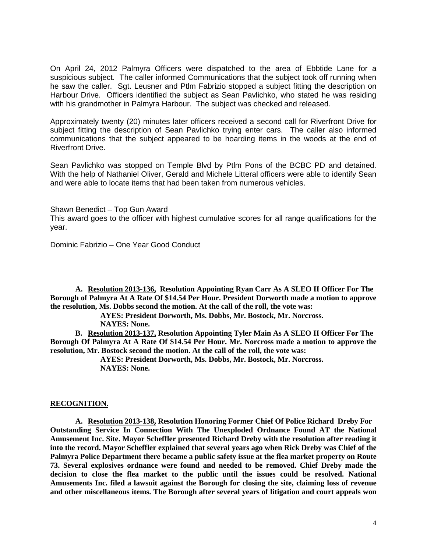On April 24, 2012 Palmyra Officers were dispatched to the area of Ebbtide Lane for a suspicious subject. The caller informed Communications that the subject took off running when he saw the caller. Sgt. Leusner and Ptlm Fabrizio stopped a subject fitting the description on Harbour Drive. Officers identified the subject as Sean Pavlichko, who stated he was residing with his grandmother in Palmyra Harbour. The subject was checked and released.

Approximately twenty (20) minutes later officers received a second call for Riverfront Drive for subject fitting the description of Sean Pavlichko trying enter cars. The caller also informed communications that the subject appeared to be hoarding items in the woods at the end of Riverfront Drive.

Sean Pavlichko was stopped on Temple Blvd by Ptlm Pons of the BCBC PD and detained. With the help of Nathaniel Oliver, Gerald and Michele Litteral officers were able to identify Sean and were able to locate items that had been taken from numerous vehicles.

Shawn Benedict – Top Gun Award This award goes to the officer with highest cumulative scores for all range qualifications for the year.

Dominic Fabrizio – One Year Good Conduct

**A. Resolution 2013-136, Resolution Appointing Ryan Carr As A SLEO II Officer For The Borough of Palmyra At A Rate Of \$14.54 Per Hour. President Dorworth made a motion to approve the resolution, Ms. Dobbs second the motion. At the call of the roll, the vote was:**

**AYES: President Dorworth, Ms. Dobbs, Mr. Bostock, Mr. Norcross.**

**NAYES: None.** 

**B. Resolution 2013-137, Resolution Appointing Tyler Main As A SLEO II Officer For The Borough Of Palmyra At A Rate Of \$14.54 Per Hour. Mr. Norcross made a motion to approve the resolution, Mr. Bostock second the motion. At the call of the roll, the vote was:**

> **AYES: President Dorworth, Ms. Dobbs, Mr. Bostock, Mr. Norcross. NAYES: None.**

### **RECOGNITION.**

**A. Resolution 2013-138, Resolution Honoring Former Chief Of Police Richard Dreby For Outstanding Service In Connection With The Unexploded Ordnance Found AT the National Amusement Inc. Site. Mayor Scheffler presented Richard Dreby with the resolution after reading it into the record. Mayor Scheffler explained that several years ago when Rick Dreby was Chief of the Palmyra Police Department there became a public safety issue at the flea market property on Route 73. Several explosives ordnance were found and needed to be removed. Chief Dreby made the decision to close the flea market to the public until the issues could be resolved. National Amusements Inc. filed a lawsuit against the Borough for closing the site, claiming loss of revenue and other miscellaneous items. The Borough after several years of litigation and court appeals won**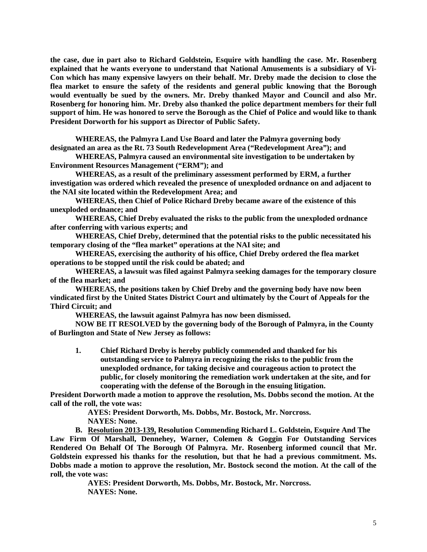**the case, due in part also to Richard Goldstein, Esquire with handling the case. Mr. Rosenberg explained that he wants everyone to understand that National Amusements is a subsidiary of Vi-Con which has many expensive lawyers on their behalf. Mr. Dreby made the decision to close the flea market to ensure the safety of the residents and general public knowing that the Borough would eventually be sued by the owners. Mr. Dreby thanked Mayor and Council and also Mr. Rosenberg for honoring him. Mr. Dreby also thanked the police department members for their full support of him. He was honored to serve the Borough as the Chief of Police and would like to thank President Dorworth for his support as Director of Public Safety.** 

**WHEREAS, the Palmyra Land Use Board and later the Palmyra governing body designated an area as the Rt. 73 South Redevelopment Area ("Redevelopment Area"); and**

**WHEREAS, Palmyra caused an environmental site investigation to be undertaken by Environment Resources Management ("ERM"); and**

**WHEREAS, as a result of the preliminary assessment performed by ERM, a further investigation was ordered which revealed the presence of unexploded ordnance on and adjacent to the NAI site located within the Redevelopment Area; and**

**WHEREAS, then Chief of Police Richard Dreby became aware of the existence of this unexploded ordnance; and**

**WHEREAS, Chief Dreby evaluated the risks to the public from the unexploded ordnance after conferring with various experts; and**

**WHEREAS, Chief Dreby, determined that the potential risks to the public necessitated his temporary closing of the "flea market" operations at the NAI site; and**

**WHEREAS, exercising the authority of his office, Chief Dreby ordered the flea market operations to be stopped until the risk could be abated; and**

**WHEREAS, a lawsuit was filed against Palmyra seeking damages for the temporary closure of the flea market; and** 

**WHEREAS, the positions taken by Chief Dreby and the governing body have now been vindicated first by the United States District Court and ultimately by the Court of Appeals for the Third Circuit; and** 

**WHEREAS, the lawsuit against Palmyra has now been dismissed.**

**NOW BE IT RESOLVED by the governing body of the Borough of Palmyra, in the County of Burlington and State of New Jersey as follows:**

**1. Chief Richard Dreby is hereby publicly commended and thanked for his outstanding service to Palmyra in recognizing the risks to the public from the unexploded ordnance, for taking decisive and courageous action to protect the public, for closely monitoring the remediation work undertaken at the site, and for cooperating with the defense of the Borough in the ensuing litigation.**

**President Dorworth made a motion to approve the resolution, Ms. Dobbs second the motion. At the call of the roll, the vote was:**

> **AYES: President Dorworth, Ms. Dobbs, Mr. Bostock, Mr. Norcross. NAYES: None.**

**B. Resolution 2013-139, Resolution Commending Richard L. Goldstein, Esquire And The Law Firm Of Marshall, Dennehey, Warner, Colemen & Goggin For Outstanding Services Rendered On Behalf Of The Borough Of Palmyra. Mr. Rosenberg informed council that Mr. Goldstein expressed his thanks for the resolution, but that he had a previous commitment. Ms. Dobbs made a motion to approve the resolution, Mr. Bostock second the motion. At the call of the roll, the vote was:**

> **AYES: President Dorworth, Ms. Dobbs, Mr. Bostock, Mr. Norcross. NAYES: None.**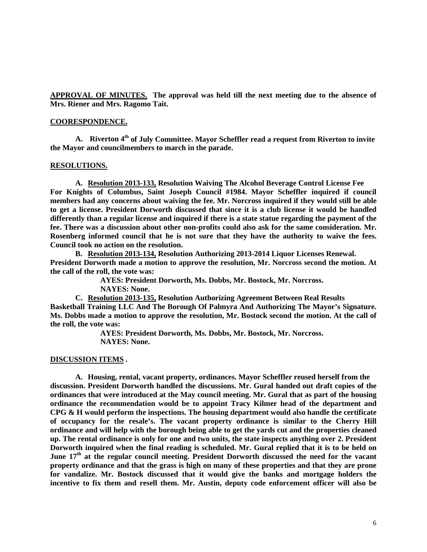**APPROVAL OF MINUTES. The approval was held till the next meeting due to the absence of Mrs. Riener and Mrs. Ragomo Tait.**

#### **COORESPONDENCE.**

**A. Riverton 4th of July Committee. Mayor Scheffler read a request from Riverton to invite the Mayor and councilmembers to march in the parade.**

#### **RESOLUTIONS.**

**A. Resolution 2013-133, Resolution Waiving The Alcohol Beverage Control License Fee For Knights of Columbus, Saint Joseph Council #1984. Mayor Scheffler inquired if council members had any concerns about waiving the fee. Mr. Norcross inquired if they would still be able to get a license. President Dorworth discussed that since it is a club license it would be handled differently than a regular license and inquired if there is a state statue regarding the payment of the fee. There was a discussion about other non-profits could also ask for the same consideration. Mr. Rosenberg informed council that he is not sure that they have the authority to waive the fees. Council took no action on the resolution.** 

**B. Resolution 2013-134, Resolution Authorizing 2013-2014 Liquor Licenses Renewal. President Dorworth made a motion to approve the resolution, Mr. Norcross second the motion. At the call of the roll, the vote was:**

> **AYES: President Dorworth, Ms. Dobbs, Mr. Bostock, Mr. Norcross. NAYES: None.**

**C. Resolution 2013-135, Resolution Authorizing Agreement Between Real Results Basketball Training LLC And The Borough Of Palmyra And Authorizing The Mayor's Signature. Ms. Dobbs made a motion to approve the resolution, Mr. Bostock second the motion. At the call of the roll, the vote was:**

> **AYES: President Dorworth, Ms. Dobbs, Mr. Bostock, Mr. Norcross. NAYES: None.**

#### **DISCUSSION ITEMS .**

**A. Housing, rental, vacant property, ordinances. Mayor Scheffler reused herself from the discussion. President Dorworth handled the discussions. Mr. Gural handed out draft copies of the ordinances that were introduced at the May council meeting. Mr. Gural that as part of the housing ordinance the recommendation would be to appoint Tracy Kilmer head of the department and CPG & H would perform the inspections. The housing department would also handle the certificate of occupancy for the resale's. The vacant property ordinance is similar to the Cherry Hill ordinance and will help with the borough being able to get the yards cut and the properties cleaned up. The rental ordinance is only for one and two units, the state inspects anything over 2. President Dorworth inquired when the final reading is scheduled. Mr. Gural replied that it is to be held on June 17th at the regular council meeting. President Dorworth discussed the need for the vacant property ordinance and that the grass is high on many of these properties and that they are prone for vandalize. Mr. Bostock discussed that it would give the banks and mortgage holders the incentive to fix them and resell them. Mr. Austin, deputy code enforcement officer will also be**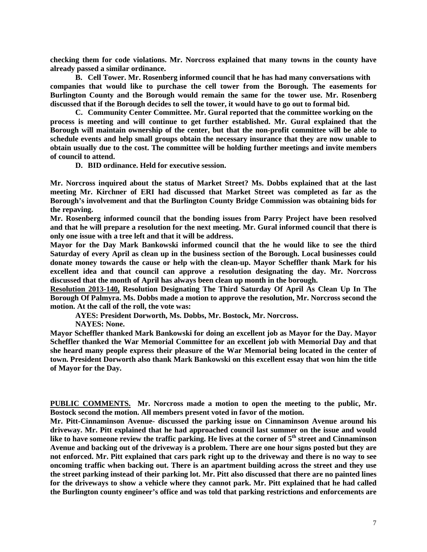**checking them for code violations. Mr. Norcross explained that many towns in the county have already passed a similar ordinance.** 

**B. Cell Tower. Mr. Rosenberg informed council that he has had many conversations with companies that would like to purchase the cell tower from the Borough. The easements for Burlington County and the Borough would remain the same for the tower use. Mr. Rosenberg discussed that if the Borough decides to sell the tower, it would have to go out to formal bid.** 

**C. Community Center Committee. Mr. Gural reported that the committee working on the process is meeting and will continue to get further established. Mr. Gural explained that the Borough will maintain ownership of the center, but that the non-profit committee will be able to schedule events and help small groups obtain the necessary insurance that they are now unable to obtain usually due to the cost. The committee will be holding further meetings and invite members of council to attend.** 

**D. BID ordinance. Held for executive session.**

**Mr. Norcross inquired about the status of Market Street? Ms. Dobbs explained that at the last meeting Mr. Kirchner of ERI had discussed that Market Street was completed as far as the Borough's involvement and that the Burlington County Bridge Commission was obtaining bids for the repaving.** 

**Mr. Rosenberg informed council that the bonding issues from Parry Project have been resolved and that he will prepare a resolution for the next meeting. Mr. Gural informed council that there is only one issue with a tree left and that it will be address.** 

**Mayor for the Day Mark Bankowski informed council that the he would like to see the third Saturday of every April as clean up in the business section of the Borough. Local businesses could donate money towards the cause or help with the clean-up. Mayor Scheffler thank Mark for his excellent idea and that council can approve a resolution designating the day. Mr. Norcross discussed that the month of April has always been clean up month in the borough.** 

**Resolution 2013-140, Resolution Designating The Third Saturday Of April As Clean Up In The Borough Of Palmyra. Ms. Dobbs made a motion to approve the resolution, Mr. Norcross second the motion. At the call of the roll, the vote was:**

**AYES: President Dorworth, Ms. Dobbs, Mr. Bostock, Mr. Norcross.**

**NAYES: None.**

**Mayor Scheffler thanked Mark Bankowski for doing an excellent job as Mayor for the Day. Mayor Scheffler thanked the War Memorial Committee for an excellent job with Memorial Day and that she heard many people express their pleasure of the War Memorial being located in the center of town. President Dorworth also thank Mark Bankowski on this excellent essay that won him the title of Mayor for the Day.** 

**PUBLIC COMMENTS. Mr. Norcross made a motion to open the meeting to the public, Mr. Bostock second the motion. All members present voted in favor of the motion.**

**Mr. Pitt-Cinnaminson Avenue- discussed the parking issue on Cinnaminson Avenue around his driveway. Mr. Pitt explained that he had approached council last summer on the issue and would**  like to have someone review the traffic parking. He lives at the corner of 5<sup>th</sup> street and Cinnaminson **Avenue and backing out of the driveway is a problem. There are one hour signs posted but they are not enforced. Mr. Pitt explained that cars park right up to the driveway and there is no way to see oncoming traffic when backing out. There is an apartment building across the street and they use the street parking instead of their parking lot. Mr. Pitt also discussed that there are no painted lines for the driveways to show a vehicle where they cannot park. Mr. Pitt explained that he had called the Burlington county engineer's office and was told that parking restrictions and enforcements are**